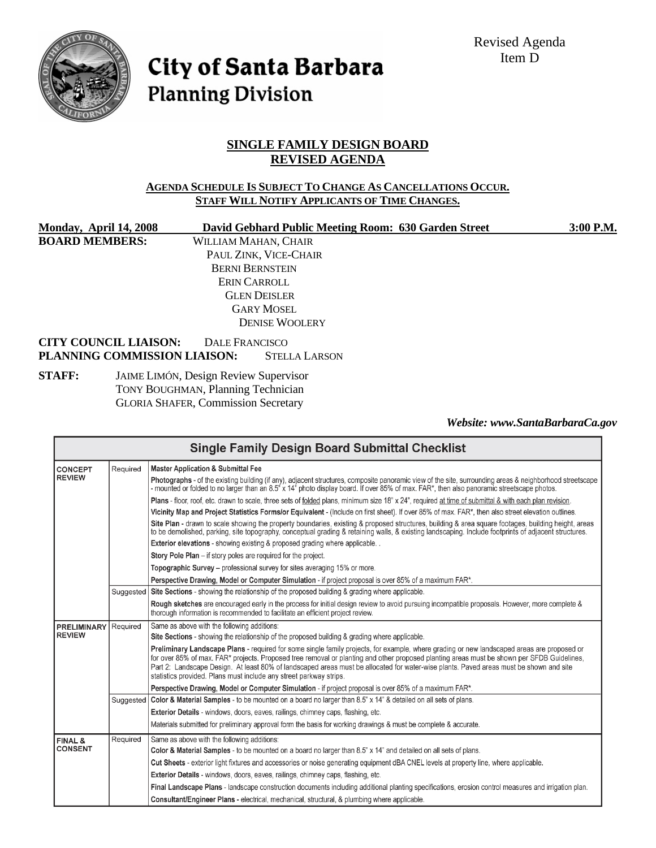Revised Agenda Item D



City of Santa Barbara **Planning Division** 

# **SINGLE FAMILY DESIGN BOARD REVISED AGENDA**

#### **AGENDA SCHEDULE IS SUBJECT TO CHANGE AS CANCELLATIONS OCCUR. STAFF WILL NOTIFY APPLICANTS OF TIME CHANGES.**

| Monday, April 14, 2008                                       | David Gebhard Public Meeting Room: 630 Garden Street | 3:00 P.M. |  |
|--------------------------------------------------------------|------------------------------------------------------|-----------|--|
| <b>BOARD MEMBERS:</b>                                        | WILLIAM MAHAN, CHAIR                                 |           |  |
|                                                              | PAUL ZINK, VICE-CHAIR                                |           |  |
|                                                              | <b>BERNI BERNSTEIN</b>                               |           |  |
|                                                              | ERIN CARROLL                                         |           |  |
|                                                              | <b>GLEN DEISLER</b>                                  |           |  |
|                                                              | <b>GARY MOSEL</b>                                    |           |  |
|                                                              | <b>DENISE WOOLERY</b>                                |           |  |
| <b>CITY COUNCIL LIAISON:</b><br>PLANNING COMMISSION LIAISON: | DALE FRANCISCO<br><b>STELLA LARSON</b>               |           |  |
| <b>STAFF:</b>                                                | <b>JAIME LIMÓN, Design Review Supervisor</b>         |           |  |

 TONY BOUGHMAN, Planning Technician GLORIA SHAFER, Commission Secretary

*Website: www.SantaBarbaraCa.gov* 

| <b>Single Family Design Board Submittal Checklist</b> |                                                                                                                  |                                                                                                                                                                                                                                                                                                                                                                                                                                                                                                          |  |  |
|-------------------------------------------------------|------------------------------------------------------------------------------------------------------------------|----------------------------------------------------------------------------------------------------------------------------------------------------------------------------------------------------------------------------------------------------------------------------------------------------------------------------------------------------------------------------------------------------------------------------------------------------------------------------------------------------------|--|--|
| <b>CONCEPT</b>                                        | Required                                                                                                         | <b>Master Application &amp; Submittal Fee</b>                                                                                                                                                                                                                                                                                                                                                                                                                                                            |  |  |
| <b>REVIEW</b>                                         |                                                                                                                  | Photographs - of the existing building (if any), adjacent structures, composite panoramic view of the site, surrounding areas & neighborhood streetscape<br>- mounted or folded to no larger than an 8.5" x 14" photo display board. If over 85% of max. FAR*, then also panoramic streetscape photos.                                                                                                                                                                                                   |  |  |
|                                                       |                                                                                                                  | Plans - floor, roof, etc. drawn to scale, three sets of folded plans, minimum size 18" x 24", required at time of submittal & with each plan revision.                                                                                                                                                                                                                                                                                                                                                   |  |  |
|                                                       |                                                                                                                  | Vicinity Map and Project Statistics Forms/or Equivalent - (Include on first sheet). If over 85% of max. FAR*, then also street elevation outlines.                                                                                                                                                                                                                                                                                                                                                       |  |  |
|                                                       |                                                                                                                  | Site Plan - drawn to scale showing the property boundaries, existing & proposed structures, building & area square footages, building height, areas<br>to be demolished, parking, site topography, conceptual grading & retaining walls, & existing landscaping. Include footprints of adjacent structures,                                                                                                                                                                                              |  |  |
|                                                       |                                                                                                                  | <b>Exterior elevations</b> - showing existing & proposed grading where applicable                                                                                                                                                                                                                                                                                                                                                                                                                        |  |  |
|                                                       |                                                                                                                  | Story Pole Plan – if story poles are required for the project.                                                                                                                                                                                                                                                                                                                                                                                                                                           |  |  |
|                                                       |                                                                                                                  | Topographic Survey – professional survey for sites averaging 15% or more.                                                                                                                                                                                                                                                                                                                                                                                                                                |  |  |
|                                                       |                                                                                                                  | Perspective Drawing, Model or Computer Simulation - if project proposal is over 85% of a maximum FAR*.                                                                                                                                                                                                                                                                                                                                                                                                   |  |  |
|                                                       | Suggested                                                                                                        | Site Sections - showing the relationship of the proposed building & grading where applicable.                                                                                                                                                                                                                                                                                                                                                                                                            |  |  |
|                                                       |                                                                                                                  | Rough sketches are encouraged early in the process for initial design review to avoid pursuing incompatible proposals. However, more complete &<br>thorough information is recommended to facilitate an efficient project review.                                                                                                                                                                                                                                                                        |  |  |
| <b>PRELIMINARY</b><br><b>REVIEW</b>                   | Required                                                                                                         | Same as above with the following additions:                                                                                                                                                                                                                                                                                                                                                                                                                                                              |  |  |
|                                                       |                                                                                                                  | Site Sections - showing the relationship of the proposed building & grading where applicable.                                                                                                                                                                                                                                                                                                                                                                                                            |  |  |
|                                                       |                                                                                                                  | Preliminary Landscape Plans - required for some single family projects, for example, where grading or new landscaped areas are proposed or<br>for over 85% of max. FAR* projects. Proposed tree removal or planting and other proposed planting areas must be shown per SFDB Guidelines,<br>Part 2: Landscape Design. At least 80% of landscaped areas must be allocated for water-wise plants. Paved areas must be shown and site<br>statistics provided. Plans must include any street parkway strips. |  |  |
|                                                       |                                                                                                                  | Perspective Drawing, Model or Computer Simulation - if project proposal is over 85% of a maximum FAR*.                                                                                                                                                                                                                                                                                                                                                                                                   |  |  |
|                                                       | Suggested                                                                                                        | Color & Material Samples - to be mounted on a board no larger than 8.5" x 14" & detailed on all sets of plans.                                                                                                                                                                                                                                                                                                                                                                                           |  |  |
|                                                       |                                                                                                                  | Exterior Details - windows, doors, eaves, railings, chimney caps, flashing, etc.                                                                                                                                                                                                                                                                                                                                                                                                                         |  |  |
|                                                       |                                                                                                                  | Materials submitted for preliminary approval form the basis for working drawings & must be complete & accurate.                                                                                                                                                                                                                                                                                                                                                                                          |  |  |
| <b>FINAL &amp;</b>                                    | Required                                                                                                         | Same as above with the following additions:                                                                                                                                                                                                                                                                                                                                                                                                                                                              |  |  |
| <b>CONSENT</b>                                        | Color & Material Samples - to be mounted on a board no larger than 8.5" x 14" and detailed on all sets of plans. |                                                                                                                                                                                                                                                                                                                                                                                                                                                                                                          |  |  |
|                                                       |                                                                                                                  | Cut Sheets - exterior light fixtures and accessories or noise generating equipment dBA CNEL levels at property line, where applicable.                                                                                                                                                                                                                                                                                                                                                                   |  |  |
|                                                       |                                                                                                                  | Exterior Details - windows, doors, eaves, railings, chimney caps, flashing, etc.                                                                                                                                                                                                                                                                                                                                                                                                                         |  |  |
|                                                       |                                                                                                                  | Final Landscape Plans - landscape construction documents including additional planting specifications, erosion control measures and irrigation plan.                                                                                                                                                                                                                                                                                                                                                     |  |  |
|                                                       |                                                                                                                  | Consultant/Engineer Plans - electrical, mechanical, structural, & plumbing where applicable.                                                                                                                                                                                                                                                                                                                                                                                                             |  |  |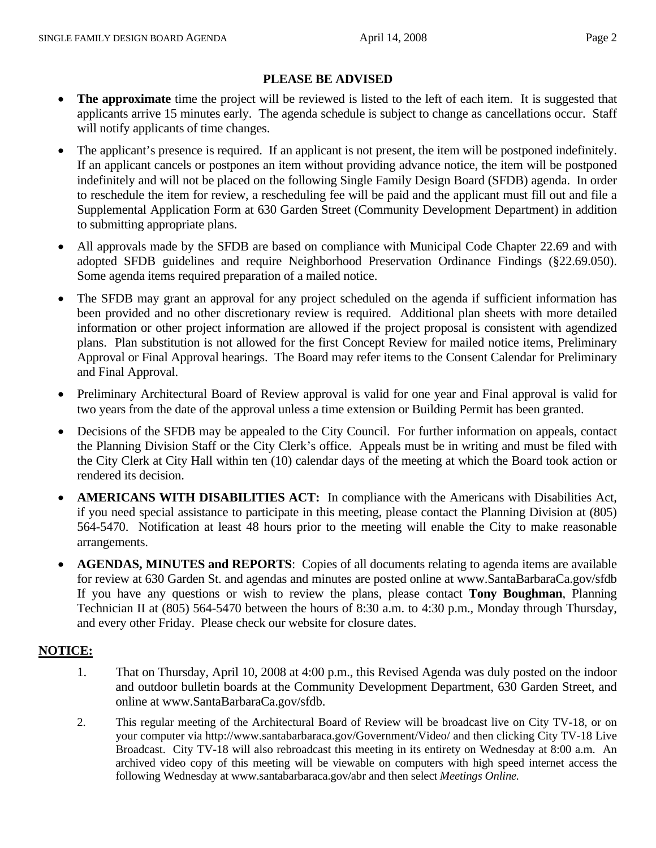## **PLEASE BE ADVISED**

- **The approximate** time the project will be reviewed is listed to the left of each item. It is suggested that applicants arrive 15 minutes early. The agenda schedule is subject to change as cancellations occur. Staff will notify applicants of time changes.
- The applicant's presence is required. If an applicant is not present, the item will be postponed indefinitely. If an applicant cancels or postpones an item without providing advance notice, the item will be postponed indefinitely and will not be placed on the following Single Family Design Board (SFDB) agenda. In order to reschedule the item for review, a rescheduling fee will be paid and the applicant must fill out and file a Supplemental Application Form at 630 Garden Street (Community Development Department) in addition to submitting appropriate plans.
- All approvals made by the SFDB are based on compliance with Municipal Code Chapter 22.69 and with adopted SFDB guidelines and require Neighborhood Preservation Ordinance Findings (§22.69.050). Some agenda items required preparation of a mailed notice.
- The SFDB may grant an approval for any project scheduled on the agenda if sufficient information has been provided and no other discretionary review is required. Additional plan sheets with more detailed information or other project information are allowed if the project proposal is consistent with agendized plans. Plan substitution is not allowed for the first Concept Review for mailed notice items, Preliminary Approval or Final Approval hearings. The Board may refer items to the Consent Calendar for Preliminary and Final Approval.
- Preliminary Architectural Board of Review approval is valid for one year and Final approval is valid for two years from the date of the approval unless a time extension or Building Permit has been granted.
- Decisions of the SFDB may be appealed to the City Council. For further information on appeals, contact the Planning Division Staff or the City Clerk's office. Appeals must be in writing and must be filed with the City Clerk at City Hall within ten (10) calendar days of the meeting at which the Board took action or rendered its decision.
- **AMERICANS WITH DISABILITIES ACT:** In compliance with the Americans with Disabilities Act, if you need special assistance to participate in this meeting, please contact the Planning Division at (805) 564-5470. Notification at least 48 hours prior to the meeting will enable the City to make reasonable arrangements.
- **AGENDAS, MINUTES and REPORTS**: Copies of all documents relating to agenda items are available for review at 630 Garden St. and agendas and minutes are posted online at www.SantaBarbaraCa.gov/sfdb If you have any questions or wish to review the plans, please contact **Tony Boughman**, Planning Technician II at (805) 564-5470 between the hours of 8:30 a.m. to 4:30 p.m., Monday through Thursday, and every other Friday. Please check our website for closure dates.

## **NOTICE:**

- 1. That on Thursday, April 10, 2008 at 4:00 p.m., this Revised Agenda was duly posted on the indoor and outdoor bulletin boards at the Community Development Department, 630 Garden Street, and online at www.SantaBarbaraCa.gov/sfdb.
- 2. This regular meeting of the Architectural Board of Review will be broadcast live on City TV-18, or on your computer via http://www.santabarbaraca.gov/Government/Video/ and then clicking City TV-18 Live Broadcast. City TV-18 will also rebroadcast this meeting in its entirety on Wednesday at 8:00 a.m. An archived video copy of this meeting will be viewable on computers with high speed internet access the following Wednesday at www.santabarbaraca.gov/abr and then select *Meetings Online.*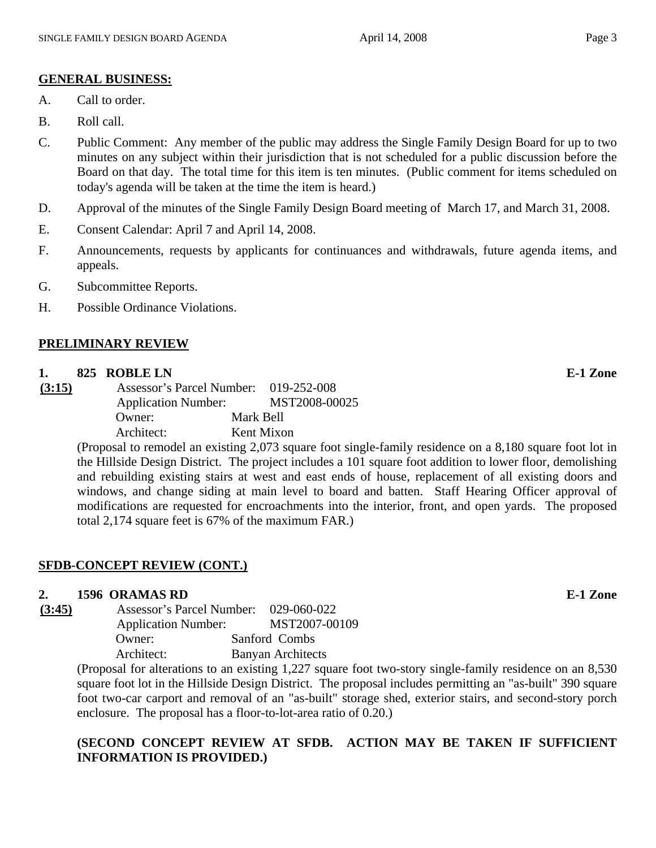#### **GENERAL BUSINESS:**

- A. Call to order.
- B. Roll call.
- C. Public Comment: Any member of the public may address the Single Family Design Board for up to two minutes on any subject within their jurisdiction that is not scheduled for a public discussion before the Board on that day. The total time for this item is ten minutes. (Public comment for items scheduled on today's agenda will be taken at the time the item is heard.)
- D. Approval of the minutes of the Single Family Design Board meeting of March 17, and March 31, 2008.
- E. Consent Calendar: April 7 and April 14, 2008.
- F. Announcements, requests by applicants for continuances and withdrawals, future agenda items, and appeals.
- G. Subcommittee Reports.
- H. Possible Ordinance Violations.

## **PRELIMINARY REVIEW**

#### **1. 825 ROBLE LN E-1 Zone**

**(3:15)** Assessor's Parcel Number: 019-252-008 Application Number: MST2008-00025 Owner: Mark Bell Architect: Kent Mixon

(Proposal to remodel an existing 2,073 square foot single-family residence on a 8,180 square foot lot in the Hillside Design District. The project includes a 101 square foot addition to lower floor, demolishing and rebuilding existing stairs at west and east ends of house, replacement of all existing doors and windows, and change siding at main level to board and batten. Staff Hearing Officer approval of modifications are requested for encroachments into the interior, front, and open yards. The proposed total 2,174 square feet is 67% of the maximum FAR.)

## **SFDB-CONCEPT REVIEW (CONT.)**

#### **2. 1596 ORAMAS RD E-1 Zone**

**(3:45)** Assessor's Parcel Number: 029-060-022 Application Number: MST2007-00109 Owner: Sanford Combs Architect: Banyan Architects

(Proposal for alterations to an existing 1,227 square foot two-story single-family residence on an 8,530 square foot lot in the Hillside Design District. The proposal includes permitting an "as-built" 390 square foot two-car carport and removal of an "as-built" storage shed, exterior stairs, and second-story porch enclosure. The proposal has a floor-to-lot-area ratio of 0.20.)

# **(SECOND CONCEPT REVIEW AT SFDB. ACTION MAY BE TAKEN IF SUFFICIENT INFORMATION IS PROVIDED.)**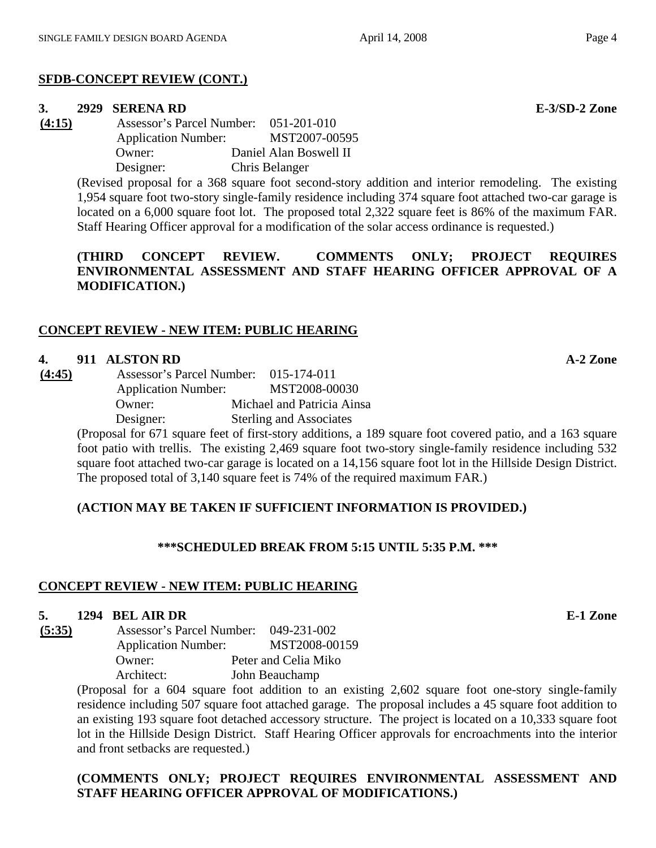# **SFDB-CONCEPT REVIEW (CONT.)**

## **3. 2929 SERENA RD E-3/SD-2 Zone**

**(4:15)** Assessor's Parcel Number: 051-201-010 Application Number: MST2007-00595 Owner: Daniel Alan Boswell II Designer: Chris Belanger

> (Revised proposal for a 368 square foot second-story addition and interior remodeling. The existing 1,954 square foot two-story single-family residence including 374 square foot attached two-car garage is located on a 6,000 square foot lot. The proposed total 2,322 square feet is 86% of the maximum FAR. Staff Hearing Officer approval for a modification of the solar access ordinance is requested.)

> **(THIRD CONCEPT REVIEW. COMMENTS ONLY; PROJECT REQUIRES ENVIRONMENTAL ASSESSMENT AND STAFF HEARING OFFICER APPROVAL OF A MODIFICATION.)**

# **CONCEPT REVIEW - NEW ITEM: PUBLIC HEARING**

## **4. 911 ALSTON RD A-2 Zone**

**(4:45)** Assessor's Parcel Number: 015-174-011 Application Number: MST2008-00030 Owner: Michael and Patricia Ainsa Designer: Sterling and Associates

(Proposal for 671 square feet of first-story additions, a 189 square foot covered patio, and a 163 square foot patio with trellis. The existing 2,469 square foot two-story single-family residence including 532 square foot attached two-car garage is located on a 14,156 square foot lot in the Hillside Design District. The proposed total of 3,140 square feet is 74% of the required maximum FAR.)

# **(ACTION MAY BE TAKEN IF SUFFICIENT INFORMATION IS PROVIDED.)**

## **\*\*\*SCHEDULED BREAK FROM 5:15 UNTIL 5:35 P.M. \*\*\***

# **CONCEPT REVIEW - NEW ITEM: PUBLIC HEARING**

## **5. 1294 BEL AIR DR E-1 Zone**

**(5:35)** Assessor's Parcel Number: 049-231-002 Application Number: MST2008-00159 Owner: Peter and Celia Miko Architect: John Beauchamp

(Proposal for a 604 square foot addition to an existing 2,602 square foot one-story single-family residence including 507 square foot attached garage. The proposal includes a 45 square foot addition to an existing 193 square foot detached accessory structure. The project is located on a 10,333 square foot lot in the Hillside Design District. Staff Hearing Officer approvals for encroachments into the interior and front setbacks are requested.)

## **(COMMENTS ONLY; PROJECT REQUIRES ENVIRONMENTAL ASSESSMENT AND STAFF HEARING OFFICER APPROVAL OF MODIFICATIONS.)**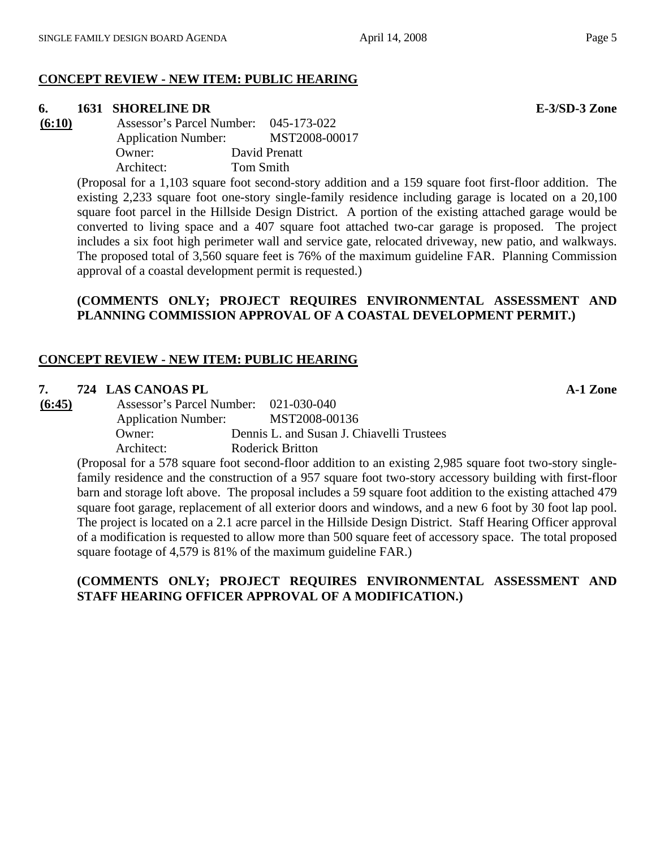#### **CONCEPT REVIEW - NEW ITEM: PUBLIC HEARING**

#### **6. 1631 SHORELINE DR E-3/SD-3 Zone**

**(6:10)** Assessor's Parcel Number: 045-173-022 Application Number: MST2008-00017 Owner: David Prenatt Architect: Tom Smith

> (Proposal for a 1,103 square foot second-story addition and a 159 square foot first-floor addition. The existing 2,233 square foot one-story single-family residence including garage is located on a 20,100 square foot parcel in the Hillside Design District. A portion of the existing attached garage would be converted to living space and a 407 square foot attached two-car garage is proposed. The project includes a six foot high perimeter wall and service gate, relocated driveway, new patio, and walkways. The proposed total of 3,560 square feet is 76% of the maximum guideline FAR. Planning Commission approval of a coastal development permit is requested.)

## **(COMMENTS ONLY; PROJECT REQUIRES ENVIRONMENTAL ASSESSMENT AND PLANNING COMMISSION APPROVAL OF A COASTAL DEVELOPMENT PERMIT.)**

# **CONCEPT REVIEW - NEW ITEM: PUBLIC HEARING**

#### **7. 724 LAS CANOAS PL 2010 A-1 Zone**

**(6:45)** Assessor's Parcel Number: 021-030-040 Application Number: MST2008-00136 Owner: Dennis L. and Susan J. Chiavelli Trustees Architect: Roderick Britton

(Proposal for a 578 square foot second-floor addition to an existing 2,985 square foot two-story singlefamily residence and the construction of a 957 square foot two-story accessory building with first-floor barn and storage loft above. The proposal includes a 59 square foot addition to the existing attached 479 square foot garage, replacement of all exterior doors and windows, and a new 6 foot by 30 foot lap pool. The project is located on a 2.1 acre parcel in the Hillside Design District. Staff Hearing Officer approval of a modification is requested to allow more than 500 square feet of accessory space. The total proposed square footage of 4,579 is 81% of the maximum guideline FAR.)

## **(COMMENTS ONLY; PROJECT REQUIRES ENVIRONMENTAL ASSESSMENT AND STAFF HEARING OFFICER APPROVAL OF A MODIFICATION.)**